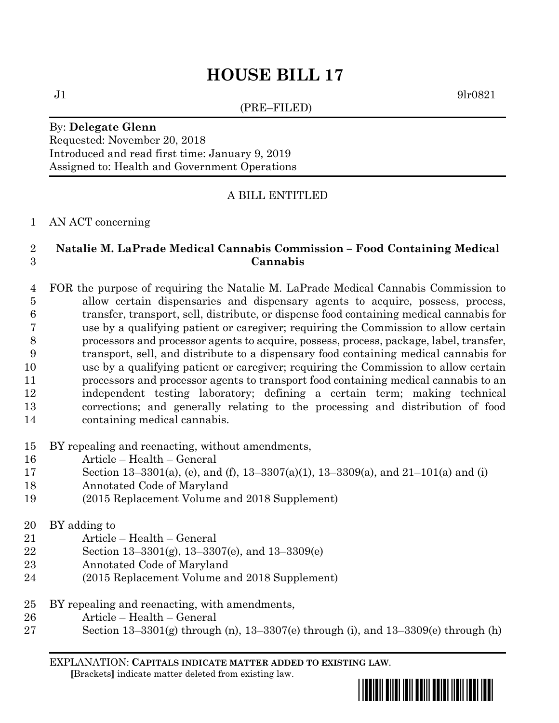# **HOUSE BILL 17**

(PRE–FILED)

 $J1$  9lr0821

#### By: **Delegate Glenn** Requested: November 20, 2018 Introduced and read first time: January 9, 2019 Assigned to: Health and Government Operations

## A BILL ENTITLED

### AN ACT concerning

## **Natalie M. LaPrade Medical Cannabis Commission – Food Containing Medical Cannabis**

- FOR the purpose of requiring the Natalie M. LaPrade Medical Cannabis Commission to allow certain dispensaries and dispensary agents to acquire, possess, process, transfer, transport, sell, distribute, or dispense food containing medical cannabis for use by a qualifying patient or caregiver; requiring the Commission to allow certain processors and processor agents to acquire, possess, process, package, label, transfer, transport, sell, and distribute to a dispensary food containing medical cannabis for use by a qualifying patient or caregiver; requiring the Commission to allow certain processors and processor agents to transport food containing medical cannabis to an independent testing laboratory; defining a certain term; making technical corrections; and generally relating to the processing and distribution of food containing medical cannabis.
- BY repealing and reenacting, without amendments,
- Article Health General
- Section 13–3301(a), (e), and (f), 13–3307(a)(1), 13–3309(a), and 21–101(a) and (i)
- Annotated Code of Maryland
- (2015 Replacement Volume and 2018 Supplement)
- BY adding to
- Article Health General
- Section 13–3301(g), 13–3307(e), and 13–3309(e)
- Annotated Code of Maryland
- (2015 Replacement Volume and 2018 Supplement)
- BY repealing and reenacting, with amendments,
- Article Health General
- 27 Section  $13-3301(g)$  through (n),  $13-3307(e)$  through (i), and  $13-3309(e)$  through (h)

EXPLANATION: **CAPITALS INDICATE MATTER ADDED TO EXISTING LAW**.  **[**Brackets**]** indicate matter deleted from existing law.

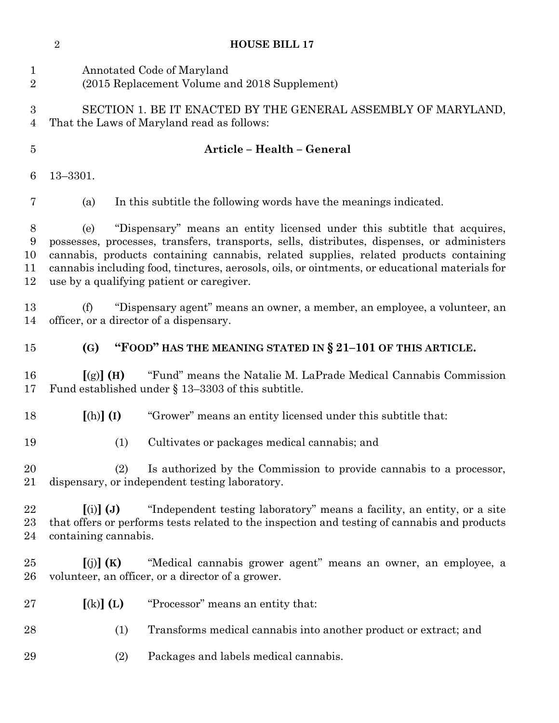|                                    | $\overline{2}$                                                                                                                                                                                                                                                                                                                                                                                                        | <b>HOUSE BILL 17</b>                                                                                                                                                    |
|------------------------------------|-----------------------------------------------------------------------------------------------------------------------------------------------------------------------------------------------------------------------------------------------------------------------------------------------------------------------------------------------------------------------------------------------------------------------|-------------------------------------------------------------------------------------------------------------------------------------------------------------------------|
| 1<br>$\overline{2}$                |                                                                                                                                                                                                                                                                                                                                                                                                                       | Annotated Code of Maryland<br>(2015 Replacement Volume and 2018 Supplement)                                                                                             |
| $\boldsymbol{3}$<br>$\overline{4}$ |                                                                                                                                                                                                                                                                                                                                                                                                                       | SECTION 1. BE IT ENACTED BY THE GENERAL ASSEMBLY OF MARYLAND,<br>That the Laws of Maryland read as follows:                                                             |
| $\bf 5$                            |                                                                                                                                                                                                                                                                                                                                                                                                                       | Article - Health - General                                                                                                                                              |
| 6                                  | $13 - 3301.$                                                                                                                                                                                                                                                                                                                                                                                                          |                                                                                                                                                                         |
| 7                                  | (a)                                                                                                                                                                                                                                                                                                                                                                                                                   | In this subtitle the following words have the meanings indicated.                                                                                                       |
| 8<br>9<br>10<br>11<br>12           | "Dispensary" means an entity licensed under this subtitle that acquires,<br>(e)<br>possesses, processes, transfers, transports, sells, distributes, dispenses, or administers<br>cannabis, products containing cannabis, related supplies, related products containing<br>cannabis including food, tinctures, aerosols, oils, or ointments, or educational materials for<br>use by a qualifying patient or caregiver. |                                                                                                                                                                         |
| 13<br>14                           | (f)                                                                                                                                                                                                                                                                                                                                                                                                                   | "Dispensary agent" means an owner, a member, an employee, a volunteer, an<br>officer, or a director of a dispensary.                                                    |
| 15                                 | (G)                                                                                                                                                                                                                                                                                                                                                                                                                   | "FOOD" HAS THE MEANING STATED IN § 21-101 OF THIS ARTICLE.                                                                                                              |
| 16                                 |                                                                                                                                                                                                                                                                                                                                                                                                                       |                                                                                                                                                                         |
| 17                                 | [(g)] (H)                                                                                                                                                                                                                                                                                                                                                                                                             | "Fund" means the Natalie M. LaPrade Medical Cannabis Commission<br>Fund established under $\S$ 13–3303 of this subtitle.                                                |
| 18                                 | $[(h)]$ $(I)$                                                                                                                                                                                                                                                                                                                                                                                                         | "Grower" means an entity licensed under this subtitle that:                                                                                                             |
| 19                                 | (1)                                                                                                                                                                                                                                                                                                                                                                                                                   | Cultivates or packages medical cannabis; and                                                                                                                            |
| 20<br>21                           | (2)                                                                                                                                                                                                                                                                                                                                                                                                                   | Is authorized by the Commission to provide cannabis to a processor,<br>dispensary, or independent testing laboratory.                                                   |
| 22<br>$23\,$<br>24                 | $(i)$ $(J)$<br>containing cannabis.                                                                                                                                                                                                                                                                                                                                                                                   | "Independent testing laboratory" means a facility, an entity, or a site<br>that offers or performs tests related to the inspection and testing of cannabis and products |
| 25<br>26                           | $\left[\text{(j)}\right]$ (K)                                                                                                                                                                                                                                                                                                                                                                                         | "Medical cannabis grower agent" means an owner, an employee, a<br>volunteer, an officer, or a director of a grower.                                                     |
| $27\,$                             | $(k)$ $(L)$                                                                                                                                                                                                                                                                                                                                                                                                           | "Processor" means an entity that:                                                                                                                                       |
| 28                                 | (1)                                                                                                                                                                                                                                                                                                                                                                                                                   | Transforms medical cannabis into another product or extract; and                                                                                                        |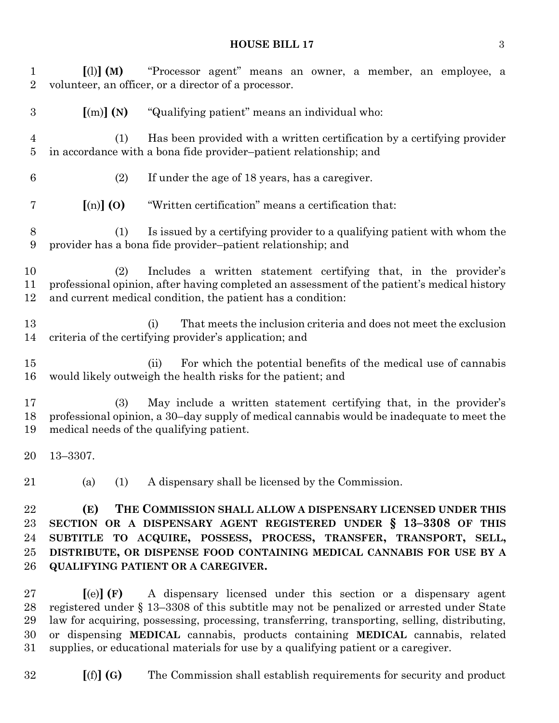#### **HOUSE BILL 17** 3

 **[**(l)**] (M)** "Processor agent" means an owner, a member, an employee, a volunteer, an officer, or a director of a processor. **[**(m)**] (N)** "Qualifying patient" means an individual who: (1) Has been provided with a written certification by a certifying provider in accordance with a bona fide provider–patient relationship; and (2) If under the age of 18 years, has a caregiver. **[**(n)**] (O)** "Written certification" means a certification that: (1) Is issued by a certifying provider to a qualifying patient with whom the provider has a bona fide provider–patient relationship; and (2) Includes a written statement certifying that, in the provider's professional opinion, after having completed an assessment of the patient's medical history and current medical condition, the patient has a condition: (i) That meets the inclusion criteria and does not meet the exclusion criteria of the certifying provider's application; and (ii) For which the potential benefits of the medical use of cannabis would likely outweigh the health risks for the patient; and (3) May include a written statement certifying that, in the provider's professional opinion, a 30–day supply of medical cannabis would be inadequate to meet the medical needs of the qualifying patient. 13–3307. (a) (1) A dispensary shall be licensed by the Commission. **(E) THE COMMISSION SHALL ALLOW A DISPENSARY LICENSED UNDER THIS SECTION OR A DISPENSARY AGENT REGISTERED UNDER § 13–3308 OF THIS SUBTITLE TO ACQUIRE, POSSESS, PROCESS, TRANSFER, TRANSPORT, SELL, DISTRIBUTE, OR DISPENSE FOOD CONTAINING MEDICAL CANNABIS FOR USE BY A QUALIFYING PATIENT OR A CAREGIVER. [**(e)**] (F)** A dispensary licensed under this section or a dispensary agent registered under § 13–3308 of this subtitle may not be penalized or arrested under State law for acquiring, possessing, processing, transferring, transporting, selling, distributing, or dispensing **MEDICAL** cannabis, products containing **MEDICAL** cannabis, related

**[**(f)**] (G)** The Commission shall establish requirements for security and product

supplies, or educational materials for use by a qualifying patient or a caregiver.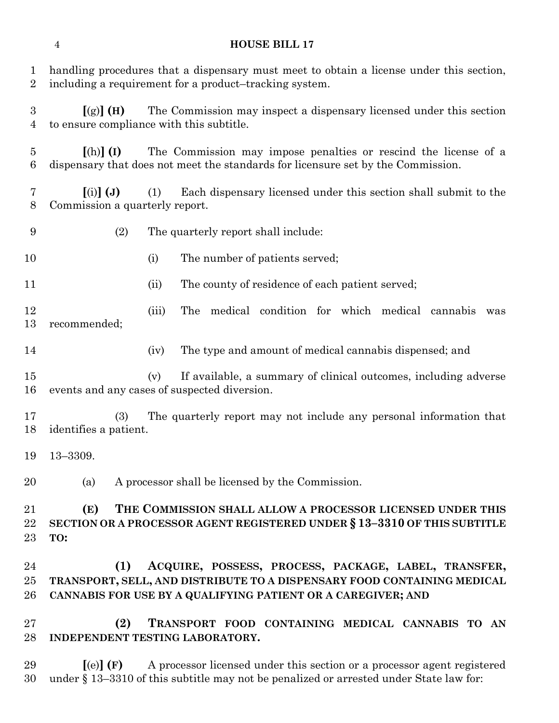| $\mathbf 1$<br>$\overline{2}$      | handling procedures that a dispensary must meet to obtain a license under this section,<br>including a requirement for a product-tracking system.                                                      |
|------------------------------------|--------------------------------------------------------------------------------------------------------------------------------------------------------------------------------------------------------|
| $\boldsymbol{3}$<br>$\overline{4}$ | The Commission may inspect a dispensary licensed under this section<br>$[(g)]$ (H)<br>to ensure compliance with this subtitle.                                                                         |
| $\overline{5}$<br>$\boldsymbol{6}$ | The Commission may impose penalties or rescind the license of a<br>$[(h)]$ (I)<br>dispensary that does not meet the standards for licensure set by the Commission.                                     |
| 7<br>8                             | $(i)$ $(j)$<br>Each dispensary licensed under this section shall submit to the<br>(1)<br>Commission a quarterly report.                                                                                |
| 9                                  | (2)<br>The quarterly report shall include:                                                                                                                                                             |
| 10                                 | (i)<br>The number of patients served;                                                                                                                                                                  |
| 11                                 | The county of residence of each patient served;<br>(ii)                                                                                                                                                |
| 12<br>13                           | medical condition for which medical cannabis<br>The<br>(iii)<br>was<br>recommended;                                                                                                                    |
| 14                                 | The type and amount of medical cannabis dispensed; and<br>(iv)                                                                                                                                         |
| 15<br>16                           | If available, a summary of clinical outcomes, including adverse<br>(v)<br>events and any cases of suspected diversion.                                                                                 |
| 17<br>18                           | The quarterly report may not include any personal information that<br>(3)<br>identifies a patient.                                                                                                     |
| 19                                 | $13 - 3309.$                                                                                                                                                                                           |
| 20                                 | A processor shall be licensed by the Commission.<br>(a)                                                                                                                                                |
| 21<br>22<br>23                     | THE COMMISSION SHALL ALLOW A PROCESSOR LICENSED UNDER THIS<br>(E)<br>SECTION OR A PROCESSOR AGENT REGISTERED UNDER § 13-3310 OF THIS SUBTITLE<br>TO:                                                   |
| 24<br>25<br>26                     | (1)<br>ACQUIRE, POSSESS, PROCESS, PACKAGE, LABEL, TRANSFER,<br>TRANSPORT, SELL, AND DISTRIBUTE TO A DISPENSARY FOOD CONTAINING MEDICAL<br>CANNABIS FOR USE BY A QUALIFYING PATIENT OR A CAREGIVER; AND |
| 27<br>28                           | (2)<br>TRANSPORT FOOD CONTAINING MEDICAL CANNABIS TO AN<br>INDEPENDENT TESTING LABORATORY.                                                                                                             |
| 29                                 | [(e)](F)<br>A processor licensed under this section or a processor agent registered                                                                                                                    |

under § 13–3310 of this subtitle may not be penalized or arrested under State law for:

## **HOUSE BILL 17**